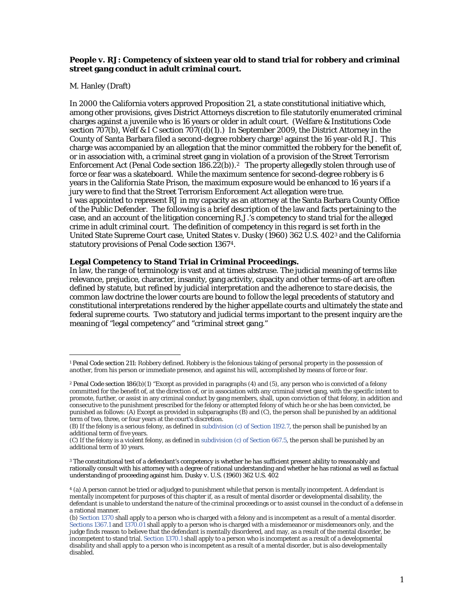## **People v. RJ: Competency of sixteen year old to stand trial for robbery and criminal street gang conduct in adult criminal court.**

## M. Hanley (Draft)

In 2000 the California voters approved Proposition 21, a state constitutional initiative which, among other provisions, gives District Attorneys discretion to file statutorily enumerated criminal charges against a juvenile who is 16 years or older in adult court. (Welfare & Institutions Code section 707(b), Welf & I C section 707((d)(1).) In September 2009, the District Attorney in the County of Santa Barbara filed a second-degree robbery charge<sup>[1](#page-0-0)</sup> against the 16 year-old R.J. This charge was accompanied by an allegation that the minor committed the robbery for the benefit of, or in association with, a criminal street gang in violation of a provision of the Street Terrorism Enforcement Act (Penal Code section  $186.22(b)$ ).<sup>2</sup> The property allegedly stolen through use of force or fear was a skateboard. While the maximum sentence for second-degree robbery is 6 years in the California State Prison, the maximum exposure would be enhanced to 16 years if a jury were to find that the Street Terrorism Enforcement Act allegation were true. I was appointed to represent RJ in my capacity as an attorney at the Santa Barbara County Office of the Public Defender. The following is a brief description of the law and facts pertaining to the case, and an account of the litigation concerning R.J.'s competency to stand trial for the alleged crime in adult criminal court. The definition of competency in this regard is set forth in the United State Supreme Court case, United States v. Dusky (1960) 362 U.S. 402[3](#page-0-2) and the California statutory provisions of Penal Code section 1367[4](#page-0-3).

### **Legal Competency to Stand Trial in Criminal Proceedings.**

In law, the range of terminology is vast and at times abstruse. The judicial meaning of terms like relevance, prejudice, character, insanity, gang activity, capacity and other terms-of-art are often defined by statute, but refined by judicial interpretation and the adherence to *stare decisis*, the common law doctrine the lower courts are bound to follow the legal precedents of statutory and constitutional interpretations rendered by the higher appellate courts and ultimately the state and federal supreme courts. Two statutory and judicial terms important to the present inquiry are the meaning of "legal competency" and "criminal street gang."

<span id="page-0-0"></span> $\overline{a}$ <sup>1</sup> Penal Code section 211: Robbery defined. Robbery is the felonious taking of personal property in the possession of another, from his person or immediate presence, and against his will, accomplished by means of force or fear.

<span id="page-0-1"></span><sup>2</sup> Penal Code section 186(b)(1) "Except as provided in paragraphs (4) and (5), any person who is convicted of a felony committed for the benefit of, at the direction of, or in association with any criminal street gang, with the specific intent to promote, further, or assist in any criminal conduct by gang members, shall, upon conviction of that felony, in addition and consecutive to the punishment prescribed for the felony or attempted felony of which he or she has been convicted, be punished as follows: (A) Except as provided in subparagraphs (B) and (C), the person shall be punished by an additional term of two, three, or four years at the court's discretion.

<sup>(</sup>B) If the felony is a serious felony, as defined i[n subdivision \(c\) of Section 1192.7,](https://a.next.westlaw.com/Link/Document/FullText?findType=L&pubNum=1000217&cite=CAPES1192.7&originatingDoc=N4B02BCF0661211E0BDD4B8A1BE13803F&refType=SP&originationContext=document&transitionType=DocumentItem&contextData=(sc.UserEnteredCitation)#co_pp_4b24000003ba5) the person shall be punished by an additional term of five years.

<sup>(</sup>C) If the felony is a violent felony, as defined i[n subdivision \(c\) of Section 667.5,](https://a.next.westlaw.com/Link/Document/FullText?findType=L&pubNum=1000217&cite=CAPES667.5&originatingDoc=N4B02BCF0661211E0BDD4B8A1BE13803F&refType=SP&originationContext=document&transitionType=DocumentItem&contextData=(sc.UserEnteredCitation)#co_pp_4b24000003ba5) the person shall be punished by an additional term of 10 years.

<span id="page-0-2"></span><sup>3</sup> The constitutional test of a defendant's competency is whether he has sufficient present ability to reasonably and rationally consult with his attorney with a degree of rational understanding and whether he has rational as well as factual understanding of proceeding against him. *Dusky v. U.S.* (1960) 362 U.S. 402

<span id="page-0-3"></span><sup>4</sup> (a) A person cannot be tried or adjudged to punishment while that person is mentally incompetent. A defendant is mentally incompetent for purposes of this chapter if, as a result of mental disorder or developmental disability, the defendant is unable to understand the nature of the criminal proceedings or to assist counsel in the conduct of a defense in a rational manner.

<sup>(</sup>b[\) Section 1370](https://a.next.westlaw.com/Link/Document/FullText?findType=L&pubNum=1000217&cite=CAPES1370&originatingDoc=N2DF45DC08D7111D8A8ACD145B11214D7&refType=LQ&originationContext=document&transitionType=DocumentItem&contextData=(sc.UserEnteredCitation)) shall apply to a person who is charged with a felony and is incompetent as a result of a mental disorder. [Sections 1367.1](https://a.next.westlaw.com/Link/Document/FullText?findType=L&pubNum=1000217&cite=CAPES1367.1&originatingDoc=N2DF45DC08D7111D8A8ACD145B11214D7&refType=LQ&originationContext=document&transitionType=DocumentItem&contextData=(sc.UserEnteredCitation)) an[d 1370.01](https://a.next.westlaw.com/Link/Document/FullText?findType=L&pubNum=1000217&cite=CAPES1370.01&originatingDoc=N2DF45DC08D7111D8A8ACD145B11214D7&refType=LQ&originationContext=document&transitionType=DocumentItem&contextData=(sc.UserEnteredCitation)) shall apply to a person who is charged with a misdemeanor or misdemeanors only, and the judge finds reason to believe that the defendant is mentally disordered, and may, as a result of the mental disorder, be incompetent to stand trial[. Section 1370.1](https://a.next.westlaw.com/Link/Document/FullText?findType=L&pubNum=1000217&cite=CAPES1370.1&originatingDoc=N2DF45DC08D7111D8A8ACD145B11214D7&refType=LQ&originationContext=document&transitionType=DocumentItem&contextData=(sc.UserEnteredCitation)) shall apply to a person who is incompetent as a result of a developmental disability and shall apply to a person who is incompetent as a result of a mental disorder, but is also developmentally disabled.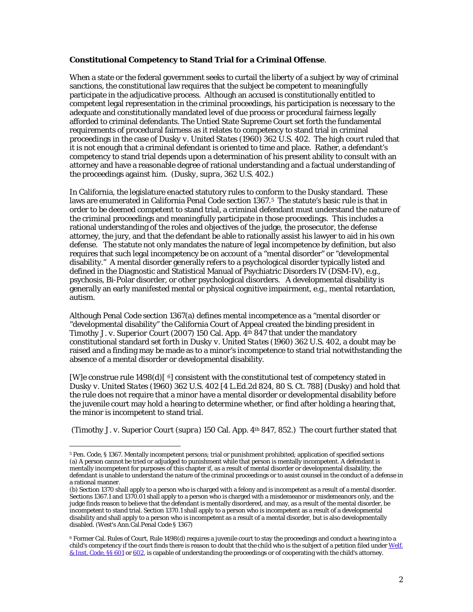# **Constitutional Competency to Stand Trial for a Criminal Offense**.

When a state or the federal government seeks to curtail the liberty of a subject by way of criminal sanctions, the constitutional law requires that the subject be competent to meaningfully participate in the adjudicative process. Although an accused is constitutionally entitled to competent legal representation in the criminal proceedings, his participation is necessary to the adequate and constitutionally mandated level of due process or procedural fairness legally afforded to criminal defendants. The Untied State Supreme Court set forth the fundamental requirements of procedural fairness as it relates to competency to stand trial in criminal proceedings in the case of *Dusky v. United States* (1960) 362 U.S. 402. The high court ruled that it is not enough that a criminal defendant is oriented to time and place. Rather, a defendant's competency to stand trial depends upon a determination of his present ability to consult with an attorney and have a reasonable degree of rational understanding and a factual understanding of the proceedings against him. (*Dusky*, *supra*, 362 U.S. 402.)

In California, the legislature enacted statutory rules to conform to the Dusky standard. These laws are enumerated in California Penal Code section 1367.[5](#page-1-0) The statute's basic rule is that in order to be deemed competent to stand trial, a criminal defendant must understand the nature of the criminal proceedings and meaningfully participate in those proceedings. This includes a rational understanding of the roles and objectives of the judge, the prosecutor, the defense attorney, the jury, and that the defendant be able to rationally assist his lawyer to aid in his own defense. The statute not only mandates the nature of legal incompetence by definition, but also requires that such legal incompetency be on account of a "mental disorder" or "developmental disability." A mental disorder generally refers to a psychological disorder typically listed and defined in the Diagnostic and Statistical Manual of Psychiatric Disorders IV (DSM-IV), e.g., psychosis, Bi-Polar disorder, or other psychological disorders. A developmental disability is generally an early manifested mental or physical cognitive impairment, e.g., mental retardation, autism.

Although Penal Code section 1367(a) defines mental incompetence as a "mental disorder or "developmental disability" the California Court of Appeal created the binding president in *Timothy J. v. Superior Court* (2007) 150 Cal. App. 4th 847 that under the mandatory constitutional standard set forth in *Dusky v. United States* (1960) 362 U.S. 402, a doubt may be raised and a finding may be made as to a minor's incompetence to stand trial notwithstanding the absence of a mental disorder or developmental disability.

[W]e construe rule  $1498(d)$  [ $\degree$ ] consistent with the constitutional test of competency stated in *Dusky v. United States* (1960) 362 U.S. 402 [4 L.Ed.2d 824, 80 S. Ct. 788] (*Dusky*) and hold that the rule does not require that a minor have a mental disorder or developmental disability before the juvenile court may hold a hearing to determine whether, or find after holding a hearing that, the minor is incompetent to stand trial.

(*Timothy J. v. Superior Court* (*supra*) 150 Cal. App. 4th 847, 852.) The court further stated that

<span id="page-1-0"></span> $\ddot{\phantom{a}}$ <sup>5</sup> Pen. Code, § 1367. Mentally incompetent persons; trial or punishment prohibited; application of specified sections (a) A person cannot be tried or adjudged to punishment while that person is mentally incompetent. A defendant is mentally incompetent for purposes of this chapter if, as a result of mental disorder or developmental disability, the defendant is unable to understand the nature of the criminal proceedings or to assist counsel in the conduct of a defense in a rational manner.

<sup>(</sup>b) Section 1370 shall apply to a person who is charged with a felony and is incompetent as a result of a mental disorder. Sections 1367.1 and 1370.01 shall apply to a person who is charged with a misdemeanor or misdemeanors only, and the judge finds reason to believe that the defendant is mentally disordered, and may, as a result of the mental disorder, be incompetent to stand trial. Section 1370.1 shall apply to a person who is incompetent as a result of a developmental disability and shall apply to a person who is incompetent as a result of a mental disorder, but is also developmentally disabled. (West's Ann.Cal.Penal Code § 1367)

<span id="page-1-1"></span><sup>6</sup> Former Cal. Rules of Court, Rule 1498(d) requires a juvenile court to stay the proceedings and conduct a hearing into a child's competency if the court finds there is reason to doubt that the child who is the subject of a petition filed under Welf. & Inst. Code, §§ 601 or 602, is capable of understanding the proceedings or of cooperating with the child's attorney.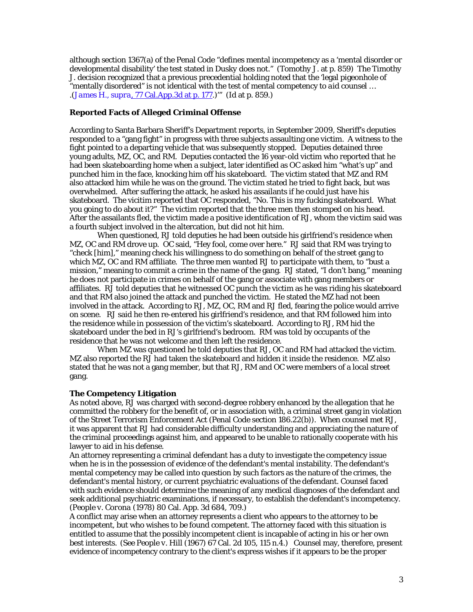although section 1367(a) of the Penal Code "defines mental incompetency as a 'mental disorder or developmental disability' the test stated in *Dusky* does not." (*Tomothy J*. at p. 859) The *Timothy J*. decision recognized that a previous precedential holding noted that the 'legal pigeonhole of "mentally disordered" is not identical with the test of mental competency *to aid counsel* … .(*James H., supra*, 77 Cal.App.3d at p. 177.)'" (*Id* at p. 859.)

# **Reported Facts of Alleged Criminal Offense**

According to Santa Barbara Sheriff's Department reports, in September 2009, Sheriff's deputies responded to a "gang fight" in progress with three subjects assaulting one victim. A witness to the fight pointed to a departing vehicle that was subsequently stopped. Deputies detained three young adults, MZ, OC, and RM. Deputies contacted the 16 year-old victim who reported that he had been skateboarding home when a subject, later identified as OC asked him "what's up" and punched him in the face, knocking him off his skateboard. The victim stated that MZ and RM also attacked him while he was on the ground. The victim stated he tried to fight back, but was overwhelmed. After suffering the attack, he asked his assailants if he could just have his skateboard. The vicitim reported that OC responded, "No. This is my fucking skateboard. What you going to do about it?" The victim reported that the three men then stomped on his head. After the assailants fled, the victim made a positive identification of RJ, whom the victim said was a fourth subject involved in the altercation, but did not hit him.

When questioned, RJ told deputies he had been outside his girlfriend's residence when MZ, OC and RM drove up. OC said, "Hey fool, come over here." RJ said that RM was trying to "check [him]," meaning check his willingness to do something on behalf of the street gang to which MZ, OC and RM affiliate. The three men wanted RJ to participate with them, to "bust a mission," meaning to commit a crime in the name of the gang. RJ stated, "I don't bang," meaning he does not participate in crimes on behalf of the gang or associate with gang members or affiliates. RJ told deputies that he witnessed OC punch the victim as he was riding his skateboard and that RM also joined the attack and punched the victim. He stated the MZ had not been involved in the attack. According to RJ, MZ, OC, RM and RJ fled, fearing the police would arrive on scene. RJ said he then re-entered his girlfriend's residence, and that RM followed him into the residence while in possession of the victim's skateboard. According to RJ, RM hid the skateboard under the bed in RJ's girlfriend's bedroom. RM was told by occupants of the residence that he was not welcome and then left the residence.

When MZ was questioned he told deputies that RJ, OC and RM had attacked the victim. MZ also reported the RJ had taken the skateboard and hidden it inside the residence. MZ also stated that he was not a gang member, but that RJ, RM and OC were members of a local street gang.

#### **The Competency Litigation**

As noted above, RJ was charged with second-degree robbery enhanced by the allegation that he committed the robbery for the benefit of, or in association with, a criminal street gang in violation of the Street Terrorism Enforcement Act (Penal Code section 186.22(b)). When counsel met RJ, it was apparent that RJ had considerable difficulty understanding and appreciating the nature of the criminal proceedings against him, and appeared to be unable to rationally cooperate with his lawyer to aid in his defense.

An attorney representing a criminal defendant has a duty to investigate the competency issue when he is in the possession of evidence of the defendant's mental instability. The defendant's mental competency may be called into question by such factors as the nature of the crimes, the defendant's mental history, or current psychiatric evaluations of the defendant. Counsel faced with such evidence should determine the meaning of any medical diagnoses of the defendant and seek additional psychiatric examinations, if necessary, to establish the defendant's incompetency. (*People v. Corona* (1978) 80 Cal. App. 3d 684, 709.)

A conflict may arise when an attorney represents a client who appears to the attorney to be incompetent, but who wishes to be found competent. The attorney faced with this situation is entitled to assume that the possibly incompetent client is incapable of acting in his or her own best interests. (*See People v. Hill* (1967) 67 Cal. 2d 105, 115 n.4.) Counsel may, therefore, present evidence of incompetency contrary to the client's express wishes if it appears to be the proper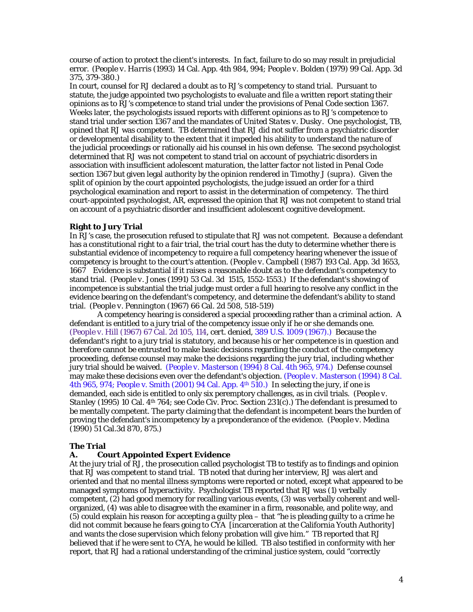course of action to protect the client's interests. In fact, failure to do so may result in prejudicial error. (*People v. Harris* (1993) 14 Cal. App. 4th 984, 994; *People v. Bolden* (1979) 99 Cal. App. 3d 375, 379-380.)

In court, counsel for RJ declared a doubt as to RJ's competency to stand trial. Pursuant to statute, the judge appointed two psychologists to evaluate and file a written report stating their opinions as to RJ's competence to stand trial under the provisions of Penal Code section 1367. Weeks later, the psychologists issued reports with different opinions as to RJ's competence to stand trial under section 1367 and the mandates of *United States v. Dusky*. One psychologist, TB, opined that RJ was competent. TB determined that RJ did not suffer from a psychiatric disorder or developmental disability to the extent that it impeded his ability to understand the nature of the judicial proceedings or rationally aid his counsel in his own defense. The second psychologist determined that RJ was not competent to stand trial on account of psychiatric disorders in association with insufficient adolescent maturation, the latter factor not listed in Penal Code section 1367 but given legal authority by the opinion rendered in Timothy J (*supra*). Given the split of opinion by the court appointed psychologists, the judge issued an order for a third psychological examination and report to assist in the determination of competency. The third court-appointed psychologist, AR, expressed the opinion that RJ was not competent to stand trial on account of a psychiatric disorder and insufficient adolescent cognitive development.

### **Right to Jury Trial**

In RJ's case, the prosecution refused to stipulate that RJ was not competent. Because a defendant has a constitutional right to a fair trial, the trial court has the duty to determine whether there is substantial evidence of incompetency to require a full competency hearing whenever the issue of competency is brought to the court's attention. (*People v. Campbell* (1987) 193 Cal. App. 3d 1653, 1667 Evidence is substantial if it raises a reasonable doubt as to the defendant's competency to stand trial. (*People v. Jones* (1991) 53 Cal. 3d 1515, 1552-1553.) If the defendant's showing of incompetence is substantial the trial judge must order a full hearing to resolve any conflict in the evidence bearing on the defendant's competency, and determine the defendant's ability to stand trial. (*People v. Pennington* (1967) 66 Cal. 2d 508, 518-519)

A competency hearing is considered a special proceeding rather than a criminal action. A defendant is entitled to a jury trial of the competency issue only if he or she demands one. (*People v. Hill* (1967) 67 Cal. 2d 105, 114, *cert. denied,* 389 U.S. 1009 (1967).) Because the defendant's right to a jury trial is statutory, and because his or her competence is in question and therefore cannot be entrusted to make basic decisions regarding the conduct of the competency proceeding, defense counsel may make the decisions regarding the jury trial, including whether jury trial should be waived. (*People v. Masterson* (1994) 8 Cal. 4th 965, 974.) Defense counsel may make these decisions even over the defendant's objection. (*People v. Masterson* (1994) 8 Cal. 4th 965, 974; People v. Smith (2001) 94 Cal. App.  $4<sup>th</sup> 510$ . In selecting the jury, if one is demanded, each side is entitled to only six peremptory challenges, as in civil trials. (*People v. Stanley* (1995) 10 Cal. 4<sup>th</sup> 764; see Code Civ. Proc. Section 231(c).) The defendant is presumed to be mentally competent. The party claiming that the defendant is incompetent bears the burden of proving the defendant's incompetency by a preponderance of the evidence. (*People v. Medina* (1990) 51 Cal.3d 870, 875.)

#### **The Trial**

### **A. Court Appointed Expert Evidence**

At the jury trial of RJ, the prosecution called psychologist TB to testify as to findings and opinion that RJ was competent to stand trial. TB noted that during her interview, RJ was alert and oriented and that no mental illness symptoms were reported or noted, except what appeared to be managed symptoms of hyperactivity. Psychologist TB reported that RJ was (1) verbally competent, (2) had good memory for recalling various events, (3) was verbally coherent and wellorganized, (4) was able to disagree with the examiner in a firm, reasonable, and polite way, and (5) could explain his reason for accepting a guilty plea – that "he is pleading guilty to a crime he did not commit because he fears going to CYA [incarceration at the California Youth Authority] and wants the close supervision which felony probation will give him." TB reported that RJ believed that if he were sent to CYA, he would be killed. TB also testified in conformity with her report, that RJ had a rational understanding of the criminal justice system, could "correctly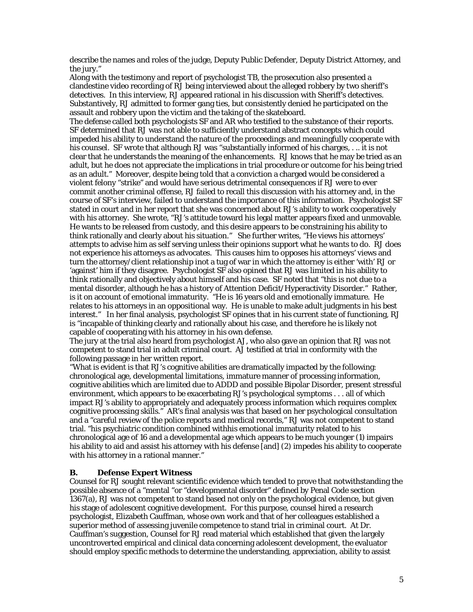describe the names and roles of the judge, Deputy Public Defender, Deputy District Attorney, and the jury."

Along with the testimony and report of psychologist TB, the prosecution also presented a clandestine video recording of RJ being interviewed about the alleged robbery by two sheriff's detectives. In this interview, RJ appeared rational in his discussion with Sheriff's detectives. Substantively, RJ admitted to former gang ties, but consistently denied he participated on the assault and robbery upon the victim and the taking of the skateboard.

The defense called both psychologists SF and AR who testified to the substance of their reports. SF determined that RJ was not able to sufficiently understand abstract concepts which could impeded his ability to understand the nature of the proceedings and meaningfully cooperate with his counsel. SF wrote that although RJ was "substantially informed of his charges, . .. it is not clear that he understands the meaning of the enhancements. RJ knows that he may be tried as an adult, but he does not appreciate the implications in trial procedure or outcome for his being tried as an adult." Moreover, despite being told that a conviction a charged would be considered a violent felony "strike" and would have serious detrimental consequences if RJ were to ever commit another criminal offense, RJ failed to recall this discussion with his attorney and, in the course of SF's interview, failed to understand the importance of this information. Psychologist SF stated in court and in her report that she was concerned about RJ's ability to work cooperatively with his attorney. She wrote, "RJ's attitude toward his legal matter appears fixed and unmovable. He wants to be released from custody, and this desire appears to be constraining his ability to think rationally and clearly about his situation." She further writes, "He views his attorneys' attempts to advise him as self serving unless their opinions support what he wants to do. RJ does not experience his attorneys as advocates. This causes him to opposes his attorneys' views and turn the attorney/client relationship inot a tug of war in which the attorney is either 'with' RJ or 'against' him if they disagree. Psychologist SF also opined that RJ was limited in his ability to think rationally and objectively about himself and his case. SF noted that "this is not due to a mental disorder, although he has a history of Attention Deficit/Hyperactivity Disorder." Rather, is it on account of emotional immaturity. "He is 16 years old and emotionally immature. He relates to his attorneys in an oppositional way. He is unable to make adult judgments in his best interest." In her final analysis, psychologist SF opines that in his current state of functioning, RJ is "incapable of thinking clearly and rationally about his case, and therefore he is likely not capable of cooperating with his attorney in his own defense.

The jury at the trial also heard from psychologist AJ, who also gave an opinion that RJ was not competent to stand trial in adult criminal court. AJ testified at trial in conformity with the following passage in her written report.

"What is evident is that RJ's cognitive abilities are dramatically impacted by the following: chronological age, developmental limitations, immature manner of processing information, cognitive abilities which are limited due to ADDD and possible Bipolar Disorder, present stressful environment, which appears to be exacerbating RJ's psychological symptoms . . . all of which impact RJ's ability to appropriately and adequately process information which requires complex cognitive processing skills." AR's final analysis was that based on her psychological consultation and a "careful review of the police reports and medical records," RJ was not competent to stand trial. "his psychiatric condition combined withhis emotional immaturity related to his chronological age of 16 and a developmental age which appears to be much younger (1) impairs his ability to aid and assist his attorney with his defense [and] (2) impedes his ability to cooperate with his attorney in a rational manner."

# **B. Defense Expert Witness**

Counsel for RJ sought relevant scientific evidence which tended to prove that notwithstanding the possible absence of a "mental "or "developmental disorder" defined by Penal Code section 1367(a), RJ was not competent to stand based not only on the psychological evidence, but given his stage of adolescent cognitive development. For this purpose, counsel hired a research psychologist, Elizabeth Cauffman, whose own work and that of her colleagues established a superior method of assessing juvenile competence to stand trial in criminal court. At Dr. Cauffman's suggestion, Counsel for RJ read material which established that given the largely uncontroverted empirical and clinical data concerning adolescent development, the evaluator should employ specific methods to determine the understanding, appreciation, ability to assist